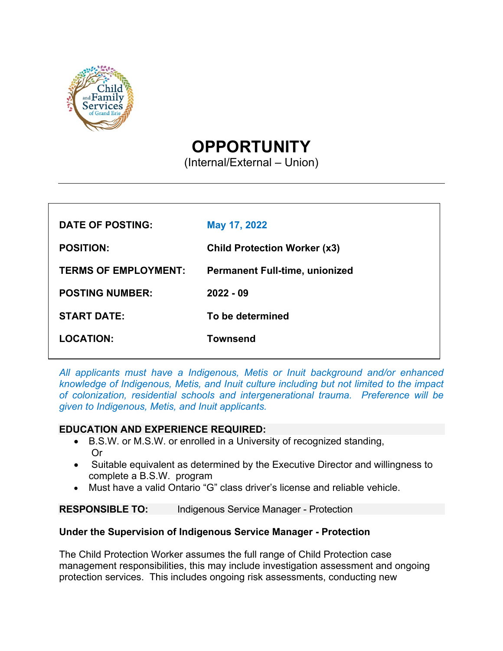

# **OPPORTUNITY**

(Internal/External – Union)

| DATE OF POSTING:            | May 17, 2022                          |
|-----------------------------|---------------------------------------|
| <b>POSITION:</b>            | <b>Child Protection Worker (x3)</b>   |
| <b>TERMS OF EMPLOYMENT:</b> | <b>Permanent Full-time, unionized</b> |
| <b>POSTING NUMBER:</b>      | $2022 - 09$                           |
| <b>START DATE:</b>          | To be determined                      |
| <b>LOCATION:</b>            | Townsend                              |
|                             |                                       |

*All applicants must have a Indigenous, Metis or Inuit background and/or enhanced knowledge of Indigenous, Metis, and Inuit culture including but not limited to the impact of colonization, residential schools and intergenerational trauma. Preference will be given to Indigenous, Metis, and Inuit applicants.*

### **EDUCATION AND EXPERIENCE REQUIRED:**

- B.S.W. or M.S.W. or enrolled in a University of recognized standing, Or
- Suitable equivalent as determined by the Executive Director and willingness to complete a B.S.W. program
- Must have a valid Ontario "G" class driver's license and reliable vehicle.

**RESPONSIBLE TO:** Indigenous Service Manager - Protection

### **Under the Supervision of Indigenous Service Manager - Protection**

The Child Protection Worker assumes the full range of Child Protection case management responsibilities, this may include investigation assessment and ongoing protection services. This includes ongoing risk assessments, conducting new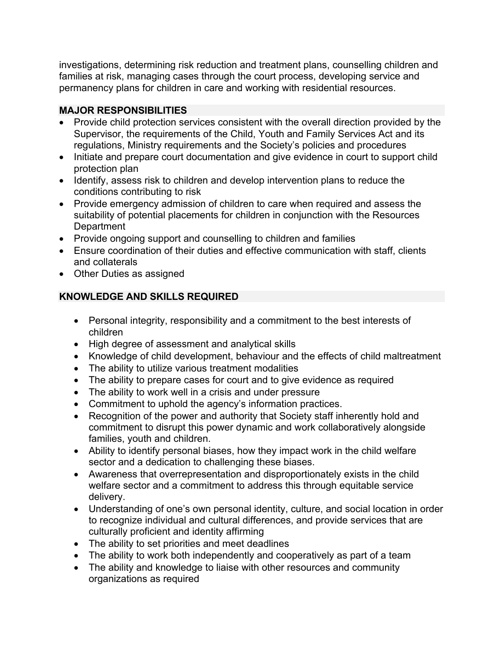investigations, determining risk reduction and treatment plans, counselling children and families at risk, managing cases through the court process, developing service and permanency plans for children in care and working with residential resources.

### **MAJOR RESPONSIBILITIES**

- Provide child protection services consistent with the overall direction provided by the Supervisor, the requirements of the Child, Youth and Family Services Act and its regulations, Ministry requirements and the Society's policies and procedures
- Initiate and prepare court documentation and give evidence in court to support child protection plan
- Identify, assess risk to children and develop intervention plans to reduce the conditions contributing to risk
- Provide emergency admission of children to care when required and assess the suitability of potential placements for children in conjunction with the Resources **Department**
- Provide ongoing support and counselling to children and families
- Ensure coordination of their duties and effective communication with staff, clients and collaterals
- Other Duties as assigned

## **KNOWLEDGE AND SKILLS REQUIRED**

- Personal integrity, responsibility and a commitment to the best interests of children
- High degree of assessment and analytical skills
- Knowledge of child development, behaviour and the effects of child maltreatment
- The ability to utilize various treatment modalities
- The ability to prepare cases for court and to give evidence as required
- The ability to work well in a crisis and under pressure
- Commitment to uphold the agency's information practices.
- Recognition of the power and authority that Society staff inherently hold and commitment to disrupt this power dynamic and work collaboratively alongside families, youth and children.
- Ability to identify personal biases, how they impact work in the child welfare sector and a dedication to challenging these biases.
- Awareness that overrepresentation and disproportionately exists in the child welfare sector and a commitment to address this through equitable service delivery.
- Understanding of one's own personal identity, culture, and social location in order to recognize individual and cultural differences, and provide services that are culturally proficient and identity affirming
- The ability to set priorities and meet deadlines
- The ability to work both independently and cooperatively as part of a team
- The ability and knowledge to liaise with other resources and community organizations as required